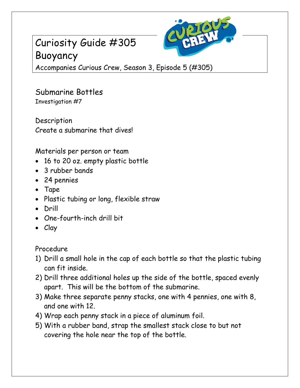## Curiosity Guide #305 Buoyancy



Accompanies Curious Crew, Season 3, Episode 5 (#305)

Submarine Bottles Investigation #7

**Description** Create a submarine that dives!

Materials per person or team

- 16 to 20 oz. empty plastic bottle
- 3 rubber bands
- 24 pennies
- Tape
- Plastic tubing or long, flexible straw
- Drill
- One-fourth-inch drill bit
- Clay

Procedure

- 1) Drill a small hole in the cap of each bottle so that the plastic tubing can fit inside.
- 2) Drill three additional holes up the side of the bottle, spaced evenly apart. This will be the bottom of the submarine.
- 3) Make three separate penny stacks, one with 4 pennies, one with 8, and one with 12.
- 4) Wrap each penny stack in a piece of aluminum foil.
- 5) With a rubber band, strap the smallest stack close to but not covering the hole near the top of the bottle.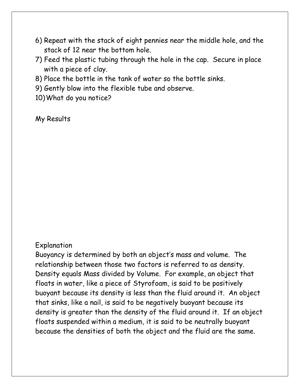- 6) Repeat with the stack of eight pennies near the middle hole, and the stack of 12 near the bottom hole.
- 7) Feed the plastic tubing through the hole in the cap. Secure in place with a piece of clay.
- 8) Place the bottle in the tank of water so the bottle sinks.
- 9) Gently blow into the flexible tube and observe.
- 10)What do you notice?

My Results

## Explanation

Buoyancy is determined by both an object's mass and volume. The relationship between those two factors is referred to as density. Density equals Mass divided by Volume. For example, an object that floats in water, like a piece of Styrofoam, is said to be positively buoyant because its density is less than the fluid around it. An object that sinks, like a nail, is said to be negatively buoyant because its density is greater than the density of the fluid around it. If an object floats suspended within a medium, it is said to be neutrally buoyant because the densities of both the object and the fluid are the same.